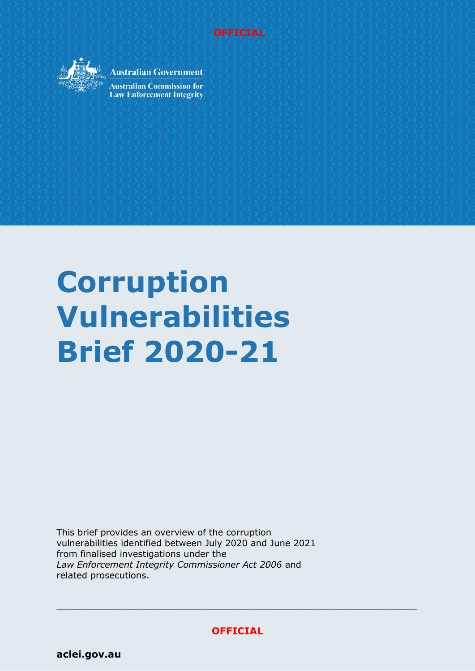



**Australian Government** 

**Australian Commission for Law Enforcement Integrity** 

# **Corruption Vulnerabilities Brief 2020-21**

This brief provides an overview of the corruption vulnerabilities identified between July 2020 and June 2021 from finalised investigations under the *Law Enforcement Integrity Commissioner Act 2006* and related prosecutions.

**OFFICIAL**

 $\_$  , and the set of the set of the set of the set of the set of the set of the set of the set of the set of the set of the set of the set of the set of the set of the set of the set of the set of the set of the set of th

**[aclei.gov.au](https://www.aclei.gov.au/)**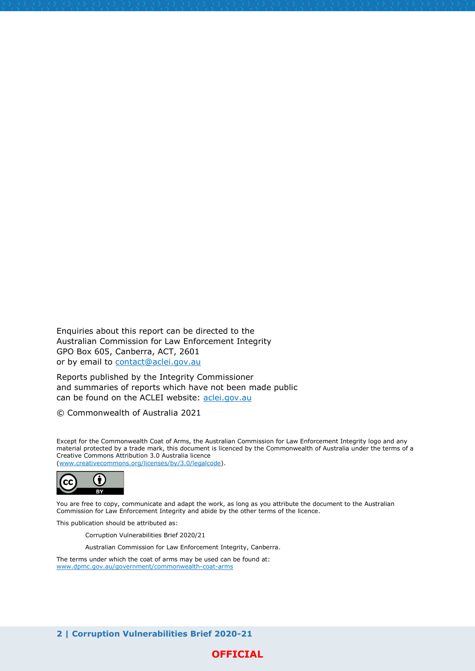Enquiries about this report can be directed to the Australian Commission for Law Enforcement Integrity GPO Box 605, Canberra, ACT, 2601 or by email to [contact@aclei.gov.au](mailto:contact@aclei.gov.au)

Reports published by the Integrity Commissioner and summaries of reports which have not been made public can be found on the ACLEI website: [aclei.gov.au](http://www.aclei.gov.au/)

© Commonwealth of Australia 2021

Except for the Commonwealth Coat of Arms, the Australian Commission for Law Enforcement Integrity logo and any material protected by a trade mark, this document is licenced by the Commonwealth of Australia under the terms of a Creative Commons Attribution 3.0 Australia licence [\(www.creativecommons.org/licenses/by/3.0/legalcode\)](http://www.creativecommons.org/licenses/by/3.0/legalcode).



You are free to copy, communicate and adapt the work, as long as you attribute the document to the Australian Commission for Law Enforcement Integrity and abide by the other terms of the licence.

This publication should be attributed as:

Corruption Vulnerabilities Brief 2020/21

Australian Commission for Law Enforcement Integrity, Canberra.

The terms under which the coat of arms may be used can be found at: [www.dpmc.gov.au/government/commonwealth-coat-arms](http://www.dpmc.gov.au/government/commonwealth-coat-arms)

**2 | Corruption Vulnerabilities Brief 2020-21** 

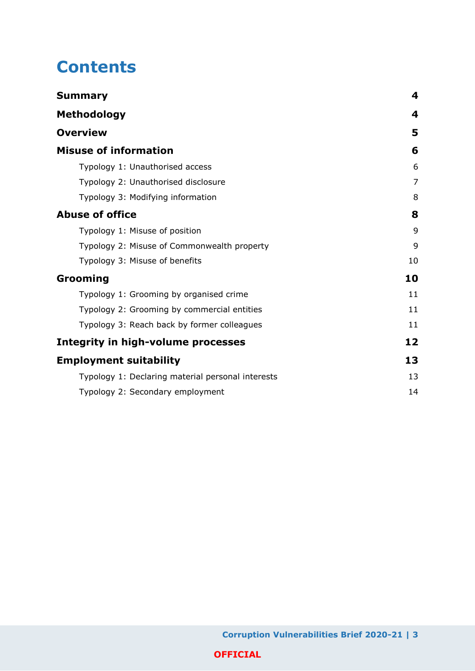# **Contents**

| <b>Summary</b>                                    | 4              |
|---------------------------------------------------|----------------|
| <b>Methodology</b>                                | 4              |
| <b>Overview</b>                                   | 5              |
| <b>Misuse of information</b>                      | 6              |
| Typology 1: Unauthorised access                   | 6              |
| Typology 2: Unauthorised disclosure               | $\overline{7}$ |
| Typology 3: Modifying information                 | 8              |
| <b>Abuse of office</b>                            | 8              |
| Typology 1: Misuse of position                    | 9              |
| Typology 2: Misuse of Commonwealth property       | 9              |
| Typology 3: Misuse of benefits                    | 10             |
| Grooming                                          | 10             |
| Typology 1: Grooming by organised crime           | 11             |
| Typology 2: Grooming by commercial entities       | 11             |
| Typology 3: Reach back by former colleagues       | 11             |
| <b>Integrity in high-volume processes</b>         | 12             |
| <b>Employment suitability</b>                     | 13             |
| Typology 1: Declaring material personal interests | 13             |
| Typology 2: Secondary employment                  | 14             |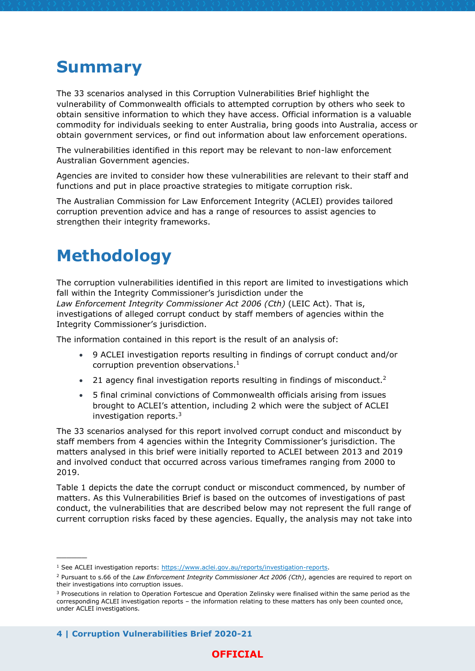# <span id="page-3-0"></span>**Summary**

The 33 scenarios analysed in this Corruption Vulnerabilities Brief highlight the vulnerability of Commonwealth officials to attempted corruption by others who seek to obtain sensitive information to which they have access. Official information is a valuable commodity for individuals seeking to enter Australia, bring goods into Australia, access or obtain government services, or find out information about law enforcement operations.

The vulnerabilities identified in this report may be relevant to non-law enforcement Australian Government agencies.

Agencies are invited to consider how these vulnerabilities are relevant to their staff and functions and put in place proactive strategies to mitigate corruption risk.

The Australian Commission for Law Enforcement Integrity (ACLEI) provides tailored corruption prevention advice and has a range of resources to assist agencies to strengthen their integrity frameworks.

# <span id="page-3-1"></span>**Methodology**

The corruption vulnerabilities identified in this report are limited to investigations which fall within the Integrity Commissioner's jurisdiction under the *Law Enforcement Integrity Commissioner Act 2006 (Cth)* (LEIC Act). That is, investigations of alleged corrupt conduct by staff members of agencies within the Integrity Commissioner's jurisdiction.

The information contained in this report is the result of an analysis of:

- 9 ACLEI investigation reports resulting in findings of corrupt conduct and/or corruption prevention observations. $<sup>1</sup>$ </sup>
- 21 agency final investigation reports resulting in findings of misconduct.<sup>2</sup>
- 5 final criminal convictions of Commonwealth officials arising from issues brought to ACLEI's attention, including 2 which were the subject of ACLEI investigation reports.<sup>3</sup>

The 33 scenarios analysed for this report involved corrupt conduct and misconduct by staff members from 4 agencies within the Integrity Commissioner's jurisdiction. The matters analysed in this brief were initially reported to ACLEI between 2013 and 2019 and involved conduct that occurred across various timeframes ranging from 2000 to 2019.

Table 1 depicts the date the corrupt conduct or misconduct commenced, by number of matters. As this Vulnerabilities Brief is based on the outcomes of investigations of past conduct, the vulnerabilities that are described below may not represent the full range of current corruption risks faced by these agencies. Equally, the analysis may not take into

**4 | Corruption Vulnerabilities Brief 2020-21** 

 $\overline{\phantom{a}}$ 

<sup>&</sup>lt;sup>1</sup> See ACLEI investigation reports: [https://www.aclei.gov.au/reports/investigation-reports.](https://www.aclei.gov.au/reports/investigation-reports)

<sup>2</sup> Pursuant to s.66 of the *Law Enforcement Integrity Commissioner Act 2006 (Cth)*, agencies are required to report on their investigations into corruption issues.

<sup>&</sup>lt;sup>3</sup> Prosecutions in relation to Operation Fortescue and Operation Zelinsky were finalised within the same period as the corresponding ACLEI investigation reports – the information relating to these matters has only been counted once, under ACLEI investigations.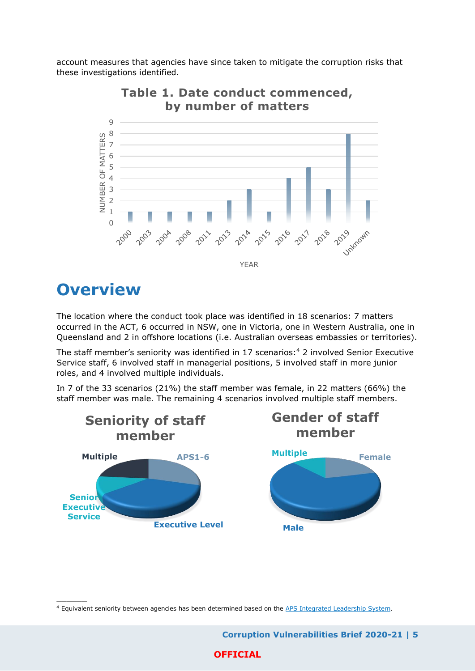account measures that agencies have since taken to mitigate the corruption risks that these investigations identified.



**Table 1. Date conduct commenced,** 

# <span id="page-4-0"></span>**Overview**

 $\overline{\phantom{a}}$ 

The location where the conduct took place was identified in 18 scenarios: 7 matters occurred in the ACT, 6 occurred in NSW, one in Victoria, one in Western Australia, one in Queensland and 2 in offshore locations (i.e. Australian overseas embassies or territories).

The staff member's seniority was identified in 17 scenarios: <sup>4</sup> 2 involved Senior Executive Service staff, 6 involved staff in managerial positions, 5 involved staff in more junior roles, and 4 involved multiple individuals.

In 7 of the 33 scenarios (21%) the staff member was female, in 22 matters (66%) the staff member was male. The remaining 4 scenarios involved multiple staff members.



<sup>4</sup> Equivalent seniority between agencies has been determined based on th[e APS Integrated Leadership System.](https://www.afp.gov.au/sites/default/files/UnderstandingTheAPSIntegratedLeadershipSystem.pdf)

 **Corruption Vulnerabilities Brief 2020-21 | 5 OFFICIAL**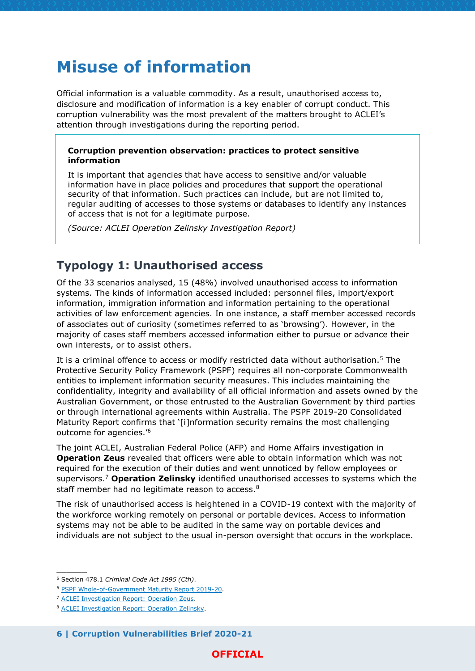# <span id="page-5-0"></span>**Misuse of information**

Official information is a valuable commodity. As a result, unauthorised access to, disclosure and modification of information is a key enabler of corrupt conduct. This corruption vulnerability was the most prevalent of the matters brought to ACLEI's attention through investigations during the reporting period.

#### **Corruption prevention observation: practices to protect sensitive information**

It is important that agencies that have access to sensitive and/or valuable information have in place policies and procedures that support the operational security of that information. Such practices can include, but are not limited to, regular auditing of accesses to those systems or databases to identify any instances of access that is not for a legitimate purpose.

*(Source: ACLEI Operation Zelinsky Investigation Report)*

### <span id="page-5-1"></span>**Typology 1: Unauthorised access**

Of the 33 scenarios analysed, 15 (48%) involved unauthorised access to information systems. The kinds of information accessed included: personnel files, import/export information, immigration information and information pertaining to the operational activities of law enforcement agencies. In one instance, a staff member accessed records of associates out of curiosity (sometimes referred to as 'browsing'). However, in the majority of cases staff members accessed information either to pursue or advance their own interests, or to assist others.

It is a criminal offence to access or modify restricted data without authorisation.<sup>5</sup> The Protective Security Policy Framework (PSPF) requires all non-corporate Commonwealth entities to implement information security measures. This includes maintaining the confidentiality, integrity and availability of all official information and assets owned by the Australian Government, or those entrusted to the Australian Government by third parties or through international agreements within Australia. The PSPF 2019-20 Consolidated Maturity Report confirms that '[i]nformation security remains the most challenging outcome for agencies.'<sup>6</sup>

The joint ACLEI, Australian Federal Police (AFP) and Home Affairs investigation in **Operation Zeus** revealed that officers were able to obtain information which was not required for the execution of their duties and went unnoticed by fellow employees or supervisors.<sup>7</sup> **Operation Zelinsky** identified unauthorised accesses to systems which the staff member had no legitimate reason to access.<sup>8</sup>

The risk of unauthorised access is heightened in a COVID-19 context with the majority of the workforce working remotely on personal or portable devices. Access to information systems may not be able to be audited in the same way on portable devices and individuals are not subject to the usual in-person oversight that occurs in the workplace.

 $\overline{\phantom{a}}$ 

**6 | Corruption Vulnerabilities Brief 2020-21** 

<sup>5</sup> Section 478.1 *Criminal Code Act 1995 (Cth)*.

<sup>6</sup> [PSPF Whole-of-Government Maturity Report 2019-20.](https://www.protectivesecurity.gov.au/publications-library/pspf-2019-20-whole-government-maturity-report)

<sup>7</sup> [ACLEI Investigation Report: Operation Zeus.](https://www.aclei.gov.au/sites/default/files/operation_zeus-_s54-_investigation_report-_report_for_publication_0.pdf?v=1607992896)

<sup>8</sup> [ACLEI Investigation Report: Operation Zelinsky.](https://www.aclei.gov.au/sites/default/files/public_version_of_investigation_report_-_operation_zelinsky.pdf?v=1630454648)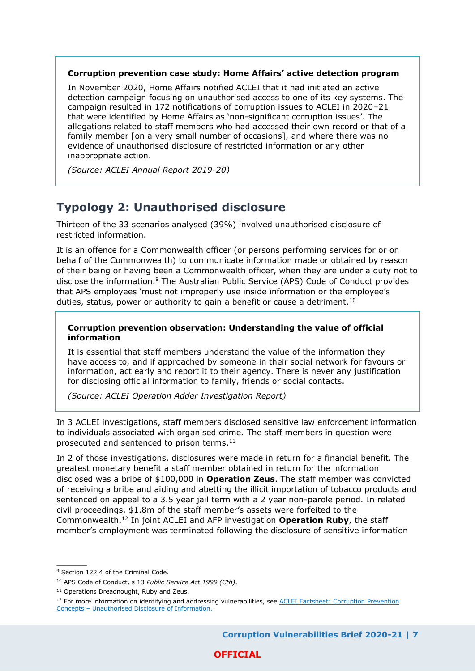#### **Corruption prevention case study: Home Affairs' active detection program**

In November 2020, Home Affairs notified ACLEI that it had initiated an active detection campaign focusing on unauthorised access to one of its key systems. The campaign resulted in 172 notifications of corruption issues to ACLEI in 2020–21 that were identified by Home Affairs as 'non-significant corruption issues'. The allegations related to staff members who had accessed their own record or that of a family member [on a very small number of occasions], and where there was no evidence of unauthorised disclosure of restricted information or any other inappropriate action.

*(Source: ACLEI Annual Report 2019-20)*

### <span id="page-6-0"></span>**Typology 2: Unauthorised disclosure**

Thirteen of the 33 scenarios analysed (39%) involved unauthorised disclosure of restricted information.

It is an offence for a Commonwealth officer (or persons performing services for or on behalf of the Commonwealth) to communicate information made or obtained by reason of their being or having been a Commonwealth officer, when they are under a duty not to disclose the information.<sup>9</sup> The Australian Public Service (APS) Code of Conduct provides that APS employees 'must not improperly use inside information or the employee's duties, status, power or authority to gain a benefit or cause a detriment.<sup>10</sup>

#### **Corruption prevention observation: Understanding the value of official information**

It is essential that staff members understand the value of the information they have access to, and if approached by someone in their social network for favours or information, act early and report it to their agency. There is never any justification for disclosing official information to family, friends or social contacts.

*(Source: ACLEI Operation Adder Investigation Report)*

In 3 ACLEI investigations, staff members disclosed sensitive law enforcement information to individuals associated with organised crime. The staff members in question were prosecuted and sentenced to prison terms.<sup>11</sup>

In 2 of those investigations, disclosures were made in return for a financial benefit. The greatest monetary benefit a staff member obtained in return for the information disclosed was a bribe of \$100,000 in **Operation Zeus**. The staff member was convicted of receiving a bribe and aiding and abetting the illicit importation of tobacco products and sentenced on appeal to a 3.5 year jail term with a 2 year non-parole period. In related civil proceedings, \$1.8m of the staff member's assets were forfeited to the Commonwealth.<sup>12</sup> In joint ACLEI and AFP investigation **Operation Ruby**, the staff member's employment was terminated following the disclosure of sensitive information

 $\overline{\phantom{a}}$ 

<sup>&</sup>lt;sup>9</sup> Section 122.4 of the Criminal Code.

<sup>10</sup> APS Code of Conduct, s 13 *Public Service Act 1999 (Cth)*.

<sup>&</sup>lt;sup>11</sup> Operations Dreadnought, Ruby and Zeus.

<sup>&</sup>lt;sup>12</sup> For more information on identifying and addressing vulnerabilities, see **ACLEI Factsheet: Corruption Prevention** Concepts – [Unauthorised Disclosure of Information.](https://www.aclei.gov.au/sites/default/files/aclei_corruption_prevention_concepts_factsheet_-_unauthorised_disclosure_of_information.pdf)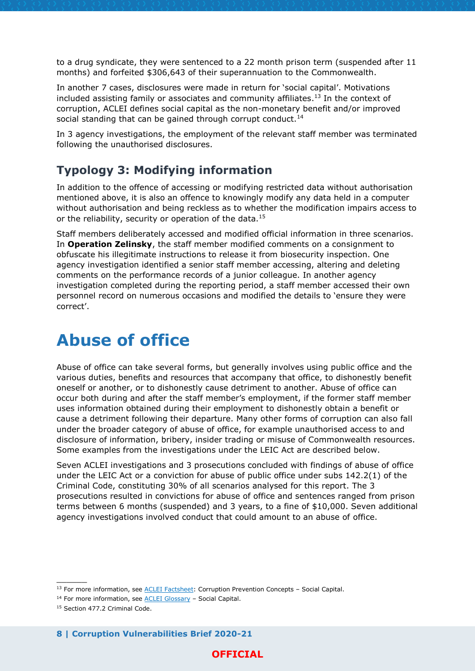to a drug syndicate, they were sentenced to a 22 month prison term (suspended after 11 months) and forfeited \$306,643 of their superannuation to the Commonwealth.

In another 7 cases, disclosures were made in return for 'social capital'. Motivations included assisting family or associates and community affiliates. <sup>13</sup> In the context of corruption, ACLEI defines social capital as the non-monetary benefit and/or improved social standing that can be gained through corrupt conduct.<sup>14</sup>

In 3 agency investigations, the employment of the relevant staff member was terminated following the unauthorised disclosures.

### <span id="page-7-0"></span>**Typology 3: Modifying information**

In addition to the offence of accessing or modifying restricted data without authorisation mentioned above, it is also an offence to knowingly modify any data held in a computer without authorisation and being reckless as to whether the modification impairs access to or the reliability, security or operation of the data.<sup>15</sup>

Staff members deliberately accessed and modified official information in three scenarios. In **Operation Zelinsky**, the staff member modified comments on a consignment to obfuscate his illegitimate instructions to release it from biosecurity inspection. One agency investigation identified a senior staff member accessing, altering and deleting comments on the performance records of a junior colleague. In another agency investigation completed during the reporting period, a staff member accessed their own personnel record on numerous occasions and modified the details to 'ensure they were correct'.

# <span id="page-7-1"></span>**Abuse of office**

Abuse of office can take several forms, but generally involves using public office and the various duties, benefits and resources that accompany that office, to dishonestly benefit oneself or another, or to dishonestly cause detriment to another. Abuse of office can occur both during and after the staff member's employment, if the former staff member uses information obtained during their employment to dishonestly obtain a benefit or cause a detriment following their departure. Many other forms of corruption can also fall under the broader category of abuse of office, for example unauthorised access to and disclosure of information, bribery, insider trading or misuse of Commonwealth resources. Some examples from the investigations under the LEIC Act are described below.

Seven ACLEI investigations and 3 prosecutions concluded with findings of abuse of office under the LEIC Act or a conviction for abuse of public office under subs 142.2(1) of the Criminal Code, constituting 30% of all scenarios analysed for this report. The 3 prosecutions resulted in convictions for abuse of office and sentences ranged from prison terms between 6 months (suspended) and 3 years, to a fine of \$10,000. Seven additional agency investigations involved conduct that could amount to an abuse of office.

 $\overline{\phantom{a}}$ 

**8 | Corruption Vulnerabilities Brief 2020-21** 

<sup>&</sup>lt;sup>13</sup> For more information, see **ACLEI Factsheet:** Corruption Prevention Concepts - Social Capital.

<sup>14</sup> For more information, see [ACLEI Glossary](https://www.aclei.gov.au/corruption-prevention/key-concepts/glossary) – Social Capital.

<sup>15</sup> Section 477.2 Criminal Code.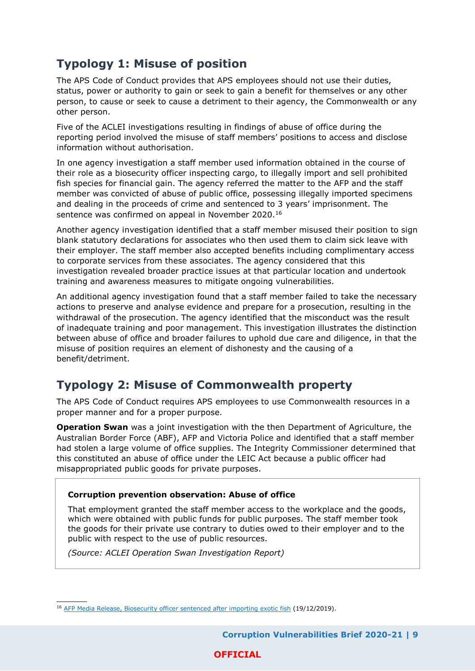# <span id="page-8-0"></span>**Typology 1: Misuse of position**

The APS Code of Conduct provides that APS employees should not use their duties, status, power or authority to gain or seek to gain a benefit for themselves or any other person, to cause or seek to cause a detriment to their agency, the Commonwealth or any other person.

Five of the ACLEI investigations resulting in findings of abuse of office during the reporting period involved the misuse of staff members' positions to access and disclose information without authorisation.

In one agency investigation a staff member used information obtained in the course of their role as a biosecurity officer inspecting cargo, to illegally import and sell prohibited fish species for financial gain. The agency referred the matter to the AFP and the staff member was convicted of abuse of public office, possessing illegally imported specimens and dealing in the proceeds of crime and sentenced to 3 years' imprisonment. The sentence was confirmed on appeal in November 2020.<sup>16</sup>

Another agency investigation identified that a staff member misused their position to sign blank statutory declarations for associates who then used them to claim sick leave with their employer. The staff member also accepted benefits including complimentary access to corporate services from these associates. The agency considered that this investigation revealed broader practice issues at that particular location and undertook training and awareness measures to mitigate ongoing vulnerabilities.

An additional agency investigation found that a staff member failed to take the necessary actions to preserve and analyse evidence and prepare for a prosecution, resulting in the withdrawal of the prosecution. The agency identified that the misconduct was the result of inadequate training and poor management. This investigation illustrates the distinction between abuse of office and broader failures to uphold due care and diligence, in that the misuse of position requires an element of dishonesty and the causing of a benefit/detriment.

## <span id="page-8-1"></span>**Typology 2: Misuse of Commonwealth property**

The APS Code of Conduct requires APS employees to use Commonwealth resources in a proper manner and for a proper purpose.

**Operation Swan** was a joint investigation with the then Department of Agriculture, the Australian Border Force (ABF), AFP and Victoria Police and identified that a staff member had stolen a large volume of office supplies. The Integrity Commissioner determined that this constituted an abuse of office under the LEIC Act because a public officer had misappropriated public goods for private purposes.

#### **Corruption prevention observation: Abuse of office**

That employment granted the staff member access to the workplace and the goods, which were obtained with public funds for public purposes. The staff member took the goods for their private use contrary to duties owed to their employer and to the public with respect to the use of public resources.

*(Source: ACLEI Operation Swan Investigation Report)*

 $\overline{\phantom{a}}$ 

<sup>16</sup> [AFP Media Release, Biosecurity officer sentenced after importing exotic fish](https://www.afp.gov.au/news-media/media-releases/biosecurity-officer-sentenced-after-importing-exotic-fish) (19/12/2019).

 **Corruption Vulnerabilities Brief 2020-21 | 9**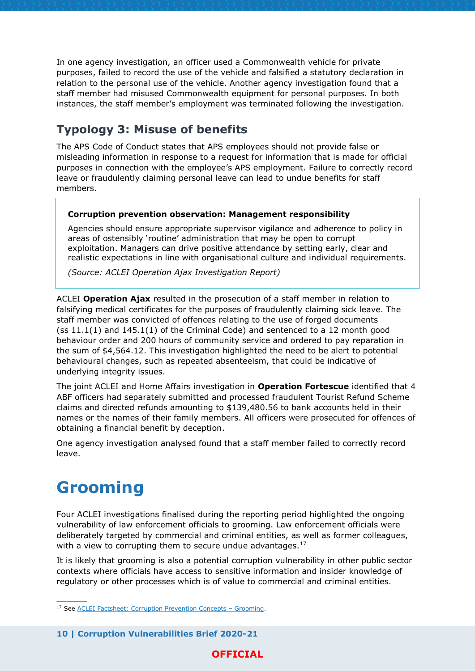In one agency investigation, an officer used a Commonwealth vehicle for private purposes, failed to record the use of the vehicle and falsified a statutory declaration in relation to the personal use of the vehicle. Another agency investigation found that a staff member had misused Commonwealth equipment for personal purposes. In both instances, the staff member's employment was terminated following the investigation.

### <span id="page-9-0"></span>**Typology 3: Misuse of benefits**

The APS Code of Conduct states that APS employees should not provide false or misleading information in response to a request for information that is made for official purposes in connection with the employee's APS employment. Failure to correctly record leave or fraudulently claiming personal leave can lead to undue benefits for staff members.

#### **Corruption prevention observation: Management responsibility**

Agencies should ensure appropriate supervisor vigilance and adherence to policy in areas of ostensibly 'routine' administration that may be open to corrupt exploitation. Managers can drive positive attendance by setting early, clear and realistic expectations in line with organisational culture and individual requirements.

*(Source: ACLEI Operation Ajax Investigation Report)*

ACLEI **Operation Ajax** resulted in the prosecution of a staff member in relation to falsifying medical certificates for the purposes of fraudulently claiming sick leave. The staff member was convicted of offences relating to the use of forged documents  $(ss 11.1(1)$  and  $145.1(1)$  of the Criminal Code) and sentenced to a 12 month good behaviour order and 200 hours of community service and ordered to pay reparation in the sum of \$4,564.12. This investigation highlighted the need to be alert to potential behavioural changes, such as repeated absenteeism, that could be indicative of underlying integrity issues.

The joint ACLEI and Home Affairs investigation in **Operation Fortescue** identified that 4 ABF officers had separately submitted and processed fraudulent Tourist Refund Scheme claims and directed refunds amounting to \$139,480.56 to bank accounts held in their names or the names of their family members. All officers were prosecuted for offences of obtaining a financial benefit by deception.

One agency investigation analysed found that a staff member failed to correctly record leave.

# <span id="page-9-1"></span>**Grooming**

 $\overline{\phantom{a}}$ 

Four ACLEI investigations finalised during the reporting period highlighted the ongoing vulnerability of law enforcement officials to grooming. Law enforcement officials were deliberately targeted by commercial and criminal entities, as well as former colleagues, with a view to corrupting them to secure undue advantages.<sup>17</sup>

It is likely that grooming is also a potential corruption vulnerability in other public sector contexts where officials have access to sensitive information and insider knowledge of regulatory or other processes which is of value to commercial and criminal entities.

**10 | Corruption Vulnerabilities Brief 2020-21** 

<sup>17</sup> Se[e ACLEI Factsheet: Corruption Prevention Concepts](https://www.aclei.gov.au/sites/default/files/18362_-_aclei_-_corruption_prevention_final.pdf?acsf_files_redirect) – Grooming.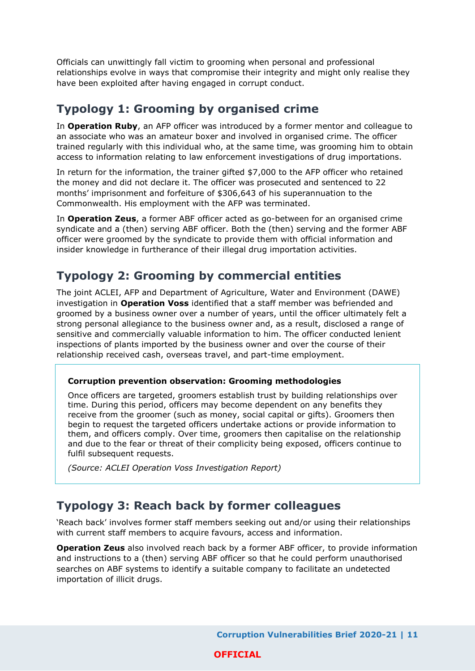Officials can unwittingly fall victim to grooming when personal and professional relationships evolve in ways that compromise their integrity and might only realise they have been exploited after having engaged in corrupt conduct.

### <span id="page-10-0"></span>**Typology 1: Grooming by organised crime**

In **Operation Ruby**, an AFP officer was introduced by a former mentor and colleague to an associate who was an amateur boxer and involved in organised crime. The officer trained regularly with this individual who, at the same time, was grooming him to obtain access to information relating to law enforcement investigations of drug importations.

In return for the information, the trainer gifted \$7,000 to the AFP officer who retained the money and did not declare it. The officer was prosecuted and sentenced to 22 months' imprisonment and forfeiture of \$306,643 of his superannuation to the Commonwealth. His employment with the AFP was terminated.

In **Operation Zeus**, a former ABF officer acted as go-between for an organised crime syndicate and a (then) serving ABF officer. Both the (then) serving and the former ABF officer were groomed by the syndicate to provide them with official information and insider knowledge in furtherance of their illegal drug importation activities.

## <span id="page-10-1"></span>**Typology 2: Grooming by commercial entities**

The joint ACLEI, AFP and Department of Agriculture, Water and Environment (DAWE) investigation in **Operation Voss** identified that a staff member was befriended and groomed by a business owner over a number of years, until the officer ultimately felt a strong personal allegiance to the business owner and, as a result, disclosed a range of sensitive and commercially valuable information to him. The officer conducted lenient inspections of plants imported by the business owner and over the course of their relationship received cash, overseas travel, and part-time employment.

#### **Corruption prevention observation: Grooming methodologies**

Once officers are targeted, groomers establish trust by building relationships over time. During this period, officers may become dependent on any benefits they receive from the groomer (such as money, social capital or gifts). Groomers then begin to request the targeted officers undertake actions or provide information to them, and officers comply. Over time, groomers then capitalise on the relationship and due to the fear or threat of their complicity being exposed, officers continue to fulfil subsequent requests.

*(Source: ACLEI Operation Voss Investigation Report)*

### <span id="page-10-2"></span>**Typology 3: Reach back by former colleagues**

'Reach back' involves former staff members seeking out and/or using their relationships with current staff members to acquire favours, access and information.

**Operation Zeus** also involved reach back by a former ABF officer, to provide information and instructions to a (then) serving ABF officer so that he could perform unauthorised searches on ABF systems to identify a suitable company to facilitate an undetected importation of illicit drugs.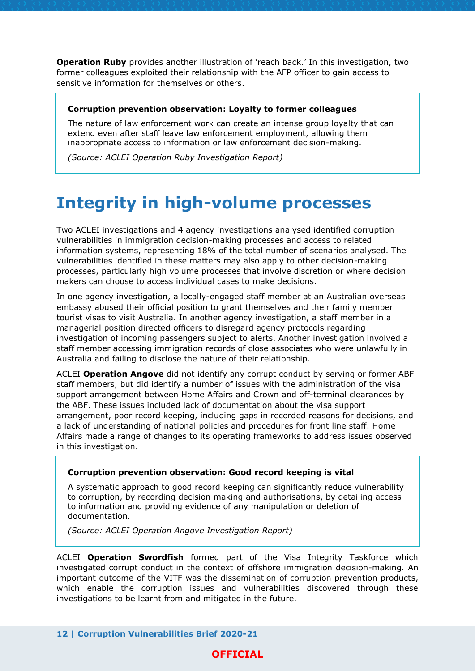**Operation Ruby** provides another illustration of 'reach back.' In this investigation, two former colleagues exploited their relationship with the AFP officer to gain access to sensitive information for themselves or others.

#### **Corruption prevention observation: Loyalty to former colleagues**

The nature of law enforcement work can create an intense group loyalty that can extend even after staff leave law enforcement employment, allowing them inappropriate access to information or law enforcement decision-making.

*(Source: ACLEI Operation Ruby Investigation Report)*

# <span id="page-11-0"></span>**Integrity in high-volume processes**

Two ACLEI investigations and 4 agency investigations analysed identified corruption vulnerabilities in immigration decision-making processes and access to related information systems, representing 18% of the total number of scenarios analysed. The vulnerabilities identified in these matters may also apply to other decision-making processes, particularly high volume processes that involve discretion or where decision makers can choose to access individual cases to make decisions.

In one agency investigation, a locally-engaged staff member at an Australian overseas embassy abused their official position to grant themselves and their family member tourist visas to visit Australia. In another agency investigation, a staff member in a managerial position directed officers to disregard agency protocols regarding investigation of incoming passengers subject to alerts. Another investigation involved a staff member accessing immigration records of close associates who were unlawfully in Australia and failing to disclose the nature of their relationship.

ACLEI **Operation Angove** did not identify any corrupt conduct by serving or former ABF staff members, but did identify a number of issues with the administration of the visa support arrangement between Home Affairs and Crown and off-terminal clearances by the ABF. These issues included lack of documentation about the visa support arrangement, poor record keeping, including gaps in recorded reasons for decisions, and a lack of understanding of national policies and procedures for front line staff. Home Affairs made a range of changes to its operating frameworks to address issues observed in this investigation.

#### **Corruption prevention observation: Good record keeping is vital**

A systematic approach to good record keeping can significantly reduce vulnerability to corruption, by recording decision making and authorisations, by detailing access to information and providing evidence of any manipulation or deletion of documentation.

*(Source: ACLEI Operation Angove Investigation Report)*

ACLEI **Operation Swordfish** formed part of the Visa Integrity Taskforce which investigated corrupt conduct in the context of offshore immigration decision-making. An important outcome of the VITF was the dissemination of corruption prevention products, which enable the corruption issues and vulnerabilities discovered through these investigations to be learnt from and mitigated in the future.

**12 | Corruption Vulnerabilities Brief 2020-21**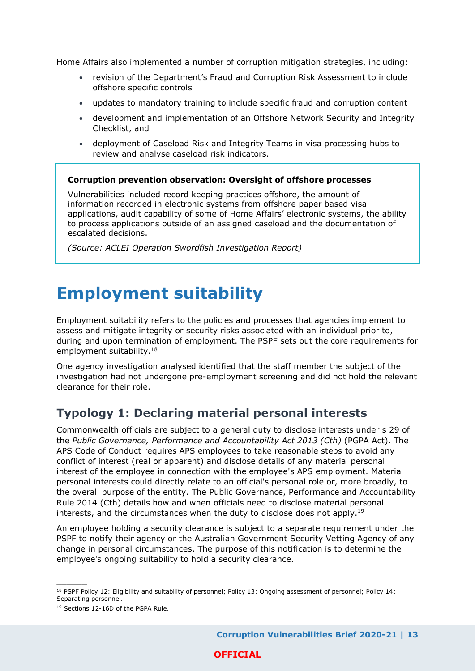Home Affairs also implemented a number of corruption mitigation strategies, including:

- revision of the Department's Fraud and Corruption Risk Assessment to include offshore specific controls
- updates to mandatory training to include specific fraud and corruption content
- development and implementation of an Offshore Network Security and Integrity Checklist, and
- deployment of Caseload Risk and Integrity Teams in visa processing hubs to review and analyse caseload risk indicators.

#### **Corruption prevention observation: Oversight of offshore processes**

Vulnerabilities included record keeping practices offshore, the amount of information recorded in electronic systems from offshore paper based visa applications, audit capability of some of Home Affairs' electronic systems, the ability to process applications outside of an assigned caseload and the documentation of escalated decisions.

*(Source: ACLEI Operation Swordfish Investigation Report)*

# <span id="page-12-0"></span>**Employment suitability**

Employment suitability refers to the policies and processes that agencies implement to assess and mitigate integrity or security risks associated with an individual prior to, during and upon termination of employment. The PSPF sets out the core requirements for employment suitability.<sup>18</sup>

One agency investigation analysed identified that the staff member the subject of the investigation had not undergone pre-employment screening and did not hold the relevant clearance for their role.

### <span id="page-12-1"></span>**Typology 1: Declaring material personal interests**

Commonwealth officials are subject to a general duty to disclose interests under s 29 of the *Public Governance, Performance and Accountability Act 2013 (Cth)* (PGPA Act). The APS Code of Conduct requires APS employees to take reasonable steps to avoid any conflict of interest (real or apparent) and disclose details of any material personal interest of the employee in connection with the employee's APS employment. Material personal interests could directly relate to an official's personal role or, more broadly, to the overall purpose of the entity. The Public Governance, Performance and Accountability Rule 2014 (Cth) details how and when officials need to disclose material personal interests, and the circumstances when the duty to disclose does not apply.<sup>19</sup>

An employee holding a security clearance is subject to a separate requirement under the PSPF to notify their agency or the Australian Government Security Vetting Agency of any change in personal circumstances. The purpose of this notification is to determine the employee's ongoing suitability to hold a security clearance.

 $\overline{\phantom{a}}$ 

<sup>&</sup>lt;sup>18</sup> PSPF Policy 12: Eligibility and suitability of personnel; Policy 13: Ongoing assessment of personnel; Policy 14: Separating personnel.

<sup>&</sup>lt;sup>19</sup> Sections 12-16D of the PGPA Rule.